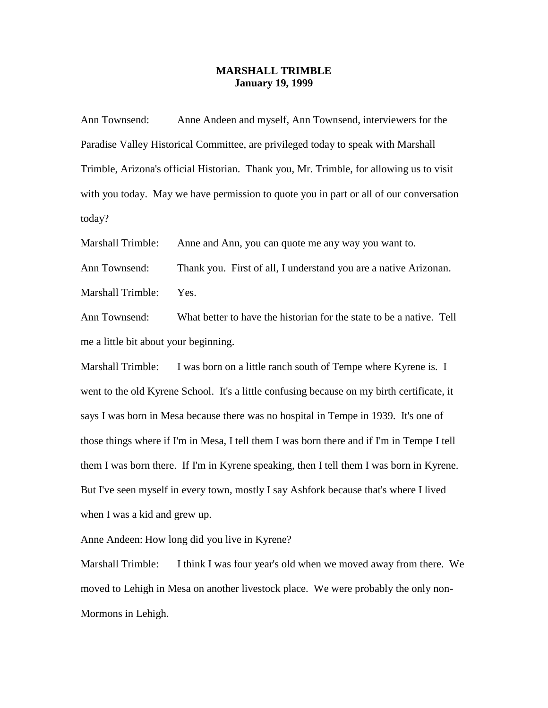## **MARSHALL TRIMBLE January 19, 1999**

Ann Townsend: Anne Andeen and myself, Ann Townsend, interviewers for the Paradise Valley Historical Committee, are privileged today to speak with Marshall Trimble, Arizona's official Historian. Thank you, Mr. Trimble, for allowing us to visit with you today. May we have permission to quote you in part or all of our conversation today?

Marshall Trimble: Anne and Ann, you can quote me any way you want to.

Ann Townsend: Thank you. First of all, I understand you are a native Arizonan. Marshall Trimble: Yes.

Ann Townsend: What better to have the historian for the state to be a native. Tell me a little bit about your beginning.

Marshall Trimble: I was born on a little ranch south of Tempe where Kyrene is. I went to the old Kyrene School. It's a little confusing because on my birth certificate, it says I was born in Mesa because there was no hospital in Tempe in 1939. It's one of those things where if I'm in Mesa, I tell them I was born there and if I'm in Tempe I tell them I was born there. If I'm in Kyrene speaking, then I tell them I was born in Kyrene. But I've seen myself in every town, mostly I say Ashfork because that's where I lived when I was a kid and grew up.

Anne Andeen: How long did you live in Kyrene?

Marshall Trimble: I think I was four year's old when we moved away from there. We moved to Lehigh in Mesa on another livestock place. We were probably the only non-Mormons in Lehigh.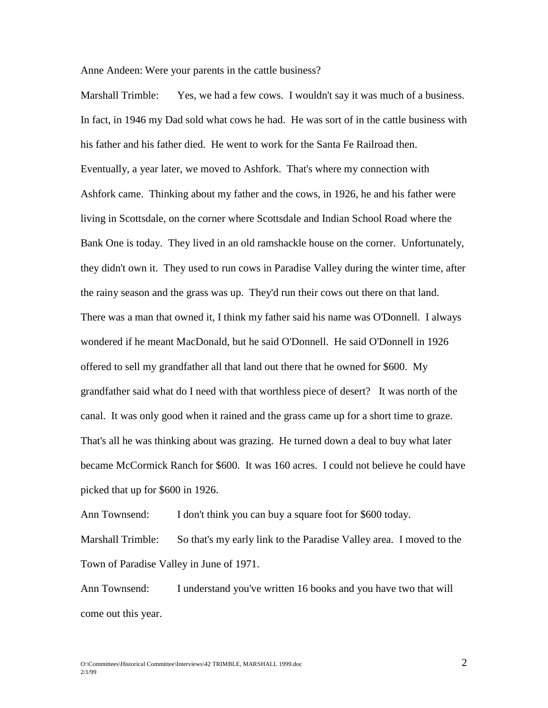Anne Andeen: Were your parents in the cattle business?

Marshall Trimble: Yes, we had a few cows. I wouldn't say it was much of a business. In fact, in 1946 my Dad sold what cows he had. He was sort of in the cattle business with his father and his father died. He went to work for the Santa Fe Railroad then. Eventually, a year later, we moved to Ashfork. That's where my connection with Ashfork came. Thinking about my father and the cows, in 1926, he and his father were living in Scottsdale, on the corner where Scottsdale and Indian School Road where the Bank One is today. They lived in an old ramshackle house on the corner. Unfortunately, they didn't own it. They used to run cows in Paradise Valley during the winter time, after the rainy season and the grass was up. They'd run their cows out there on that land. There was a man that owned it, I think my father said his name was O'Donnell. I always wondered if he meant MacDonald, but he said O'Donnell. He said O'Donnell in 1926 offered to sell my grandfather all that land out there that he owned for \$600. My grandfather said what do I need with that worthless piece of desert? It was north of the canal. It was only good when it rained and the grass came up for a short time to graze. That's all he was thinking about was grazing. He turned down a deal to buy what later became McCormick Ranch for \$600. It was 160 acres. I could not believe he could have picked that up for \$600 in 1926.

Ann Townsend: I don't think you can buy a square foot for \$600 today. Marshall Trimble: So that's my early link to the Paradise Valley area. I moved to the Town of Paradise Valley in June of 1971.

Ann Townsend: I understand you've written 16 books and you have two that will come out this year.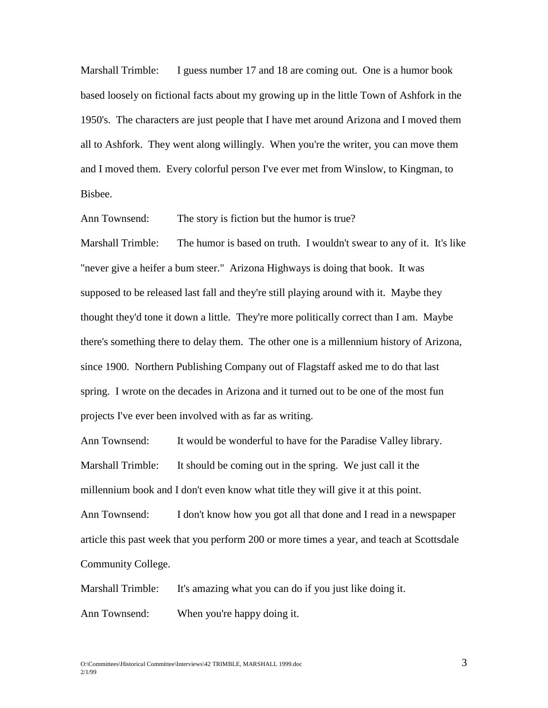Marshall Trimble: I guess number 17 and 18 are coming out. One is a humor book based loosely on fictional facts about my growing up in the little Town of Ashfork in the 1950's. The characters are just people that I have met around Arizona and I moved them all to Ashfork. They went along willingly. When you're the writer, you can move them and I moved them. Every colorful person I've ever met from Winslow, to Kingman, to Bisbee.

Ann Townsend: The story is fiction but the humor is true?

Marshall Trimble: The humor is based on truth. I wouldn't swear to any of it. It's like "never give a heifer a bum steer." Arizona Highways is doing that book. It was supposed to be released last fall and they're still playing around with it. Maybe they thought they'd tone it down a little. They're more politically correct than I am. Maybe there's something there to delay them. The other one is a millennium history of Arizona, since 1900. Northern Publishing Company out of Flagstaff asked me to do that last spring. I wrote on the decades in Arizona and it turned out to be one of the most fun projects I've ever been involved with as far as writing.

Ann Townsend: It would be wonderful to have for the Paradise Valley library. Marshall Trimble: It should be coming out in the spring. We just call it the millennium book and I don't even know what title they will give it at this point. Ann Townsend: I don't know how you got all that done and I read in a newspaper article this past week that you perform 200 or more times a year, and teach at Scottsdale Community College.

Marshall Trimble: It's amazing what you can do if you just like doing it.

Ann Townsend: When you're happy doing it.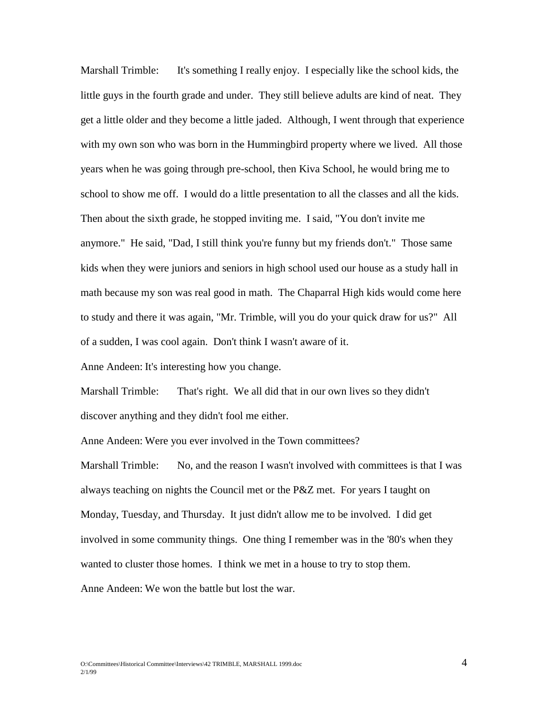Marshall Trimble: It's something I really enjoy. I especially like the school kids, the little guys in the fourth grade and under. They still believe adults are kind of neat. They get a little older and they become a little jaded. Although, I went through that experience with my own son who was born in the Hummingbird property where we lived. All those years when he was going through pre-school, then Kiva School, he would bring me to school to show me off. I would do a little presentation to all the classes and all the kids. Then about the sixth grade, he stopped inviting me. I said, "You don't invite me anymore." He said, "Dad, I still think you're funny but my friends don't." Those same kids when they were juniors and seniors in high school used our house as a study hall in math because my son was real good in math. The Chaparral High kids would come here to study and there it was again, "Mr. Trimble, will you do your quick draw for us?" All of a sudden, I was cool again. Don't think I wasn't aware of it.

Anne Andeen: It's interesting how you change.

Marshall Trimble: That's right. We all did that in our own lives so they didn't discover anything and they didn't fool me either.

Anne Andeen: Were you ever involved in the Town committees?

Marshall Trimble: No, and the reason I wasn't involved with committees is that I was always teaching on nights the Council met or the P&Z met. For years I taught on Monday, Tuesday, and Thursday. It just didn't allow me to be involved. I did get involved in some community things. One thing I remember was in the '80's when they wanted to cluster those homes. I think we met in a house to try to stop them. Anne Andeen: We won the battle but lost the war.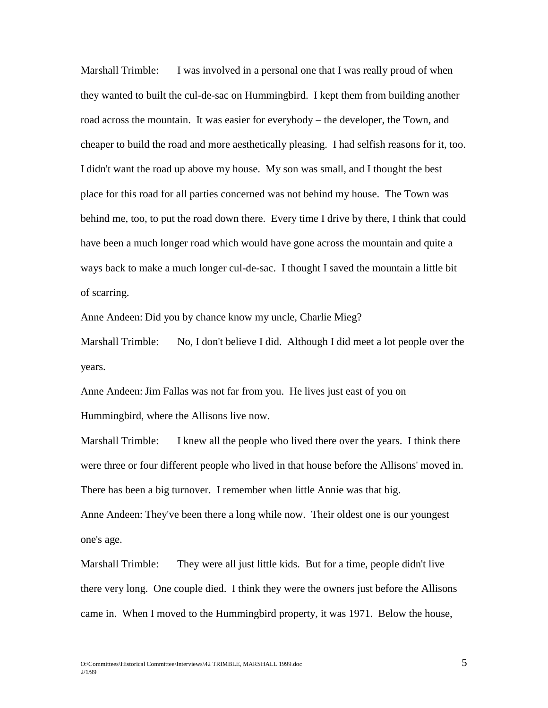Marshall Trimble: I was involved in a personal one that I was really proud of when they wanted to built the cul-de-sac on Hummingbird. I kept them from building another road across the mountain. It was easier for everybody – the developer, the Town, and cheaper to build the road and more aesthetically pleasing. I had selfish reasons for it, too. I didn't want the road up above my house. My son was small, and I thought the best place for this road for all parties concerned was not behind my house. The Town was behind me, too, to put the road down there. Every time I drive by there, I think that could have been a much longer road which would have gone across the mountain and quite a ways back to make a much longer cul-de-sac. I thought I saved the mountain a little bit of scarring.

Anne Andeen: Did you by chance know my uncle, Charlie Mieg?

Marshall Trimble: No, I don't believe I did. Although I did meet a lot people over the years.

Anne Andeen: Jim Fallas was not far from you. He lives just east of you on Hummingbird, where the Allisons live now.

Marshall Trimble: I knew all the people who lived there over the years. I think there were three or four different people who lived in that house before the Allisons' moved in. There has been a big turnover. I remember when little Annie was that big. Anne Andeen: They've been there a long while now. Their oldest one is our youngest

one's age.

Marshall Trimble: They were all just little kids. But for a time, people didn't live there very long. One couple died. I think they were the owners just before the Allisons came in. When I moved to the Hummingbird property, it was 1971. Below the house,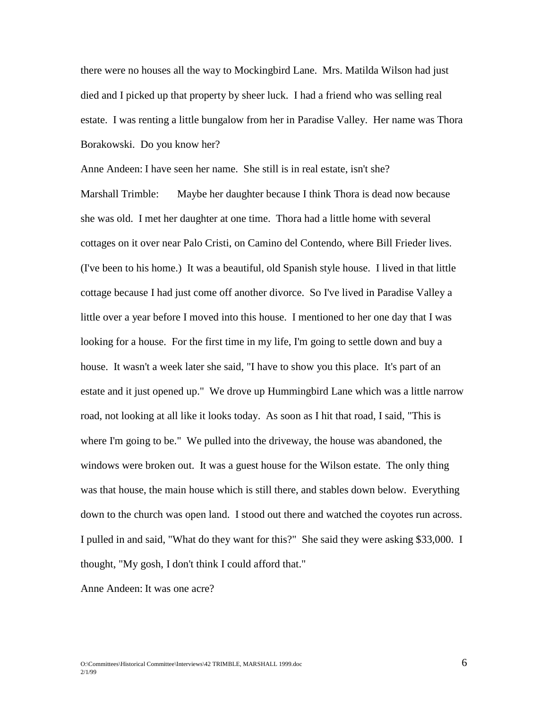there were no houses all the way to Mockingbird Lane. Mrs. Matilda Wilson had just died and I picked up that property by sheer luck. I had a friend who was selling real estate. I was renting a little bungalow from her in Paradise Valley. Her name was Thora Borakowski. Do you know her?

Anne Andeen: I have seen her name. She still is in real estate, isn't she? Marshall Trimble: Maybe her daughter because I think Thora is dead now because she was old. I met her daughter at one time. Thora had a little home with several cottages on it over near Palo Cristi, on Camino del Contendo, where Bill Frieder lives. (I've been to his home.) It was a beautiful, old Spanish style house. I lived in that little cottage because I had just come off another divorce. So I've lived in Paradise Valley a little over a year before I moved into this house. I mentioned to her one day that I was looking for a house. For the first time in my life, I'm going to settle down and buy a house. It wasn't a week later she said, "I have to show you this place. It's part of an estate and it just opened up." We drove up Hummingbird Lane which was a little narrow road, not looking at all like it looks today. As soon as I hit that road, I said, "This is where I'm going to be." We pulled into the driveway, the house was abandoned, the windows were broken out. It was a guest house for the Wilson estate. The only thing was that house, the main house which is still there, and stables down below. Everything down to the church was open land. I stood out there and watched the coyotes run across. I pulled in and said, "What do they want for this?" She said they were asking \$33,000. I thought, "My gosh, I don't think I could afford that."

Anne Andeen: It was one acre?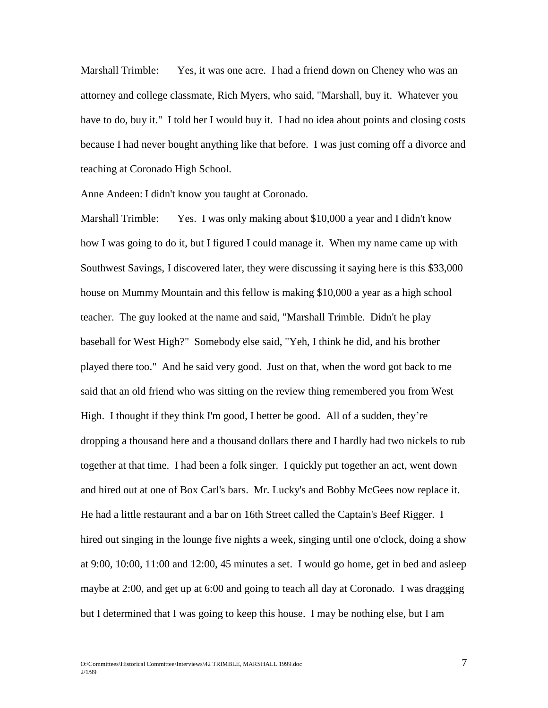Marshall Trimble: Yes, it was one acre. I had a friend down on Cheney who was an attorney and college classmate, Rich Myers, who said, "Marshall, buy it. Whatever you have to do, buy it." I told her I would buy it. I had no idea about points and closing costs because I had never bought anything like that before. I was just coming off a divorce and teaching at Coronado High School.

Anne Andeen: I didn't know you taught at Coronado.

Marshall Trimble: Yes. I was only making about \$10,000 a year and I didn't know how I was going to do it, but I figured I could manage it. When my name came up with Southwest Savings, I discovered later, they were discussing it saying here is this \$33,000 house on Mummy Mountain and this fellow is making \$10,000 a year as a high school teacher. The guy looked at the name and said, "Marshall Trimble. Didn't he play baseball for West High?" Somebody else said, "Yeh, I think he did, and his brother played there too." And he said very good. Just on that, when the word got back to me said that an old friend who was sitting on the review thing remembered you from West High. I thought if they think I'm good, I better be good. All of a sudden, they're dropping a thousand here and a thousand dollars there and I hardly had two nickels to rub together at that time. I had been a folk singer. I quickly put together an act, went down and hired out at one of Box Carl's bars. Mr. Lucky's and Bobby McGees now replace it. He had a little restaurant and a bar on 16th Street called the Captain's Beef Rigger. I hired out singing in the lounge five nights a week, singing until one o'clock, doing a show at 9:00, 10:00, 11:00 and 12:00, 45 minutes a set. I would go home, get in bed and asleep maybe at 2:00, and get up at 6:00 and going to teach all day at Coronado. I was dragging but I determined that I was going to keep this house. I may be nothing else, but I am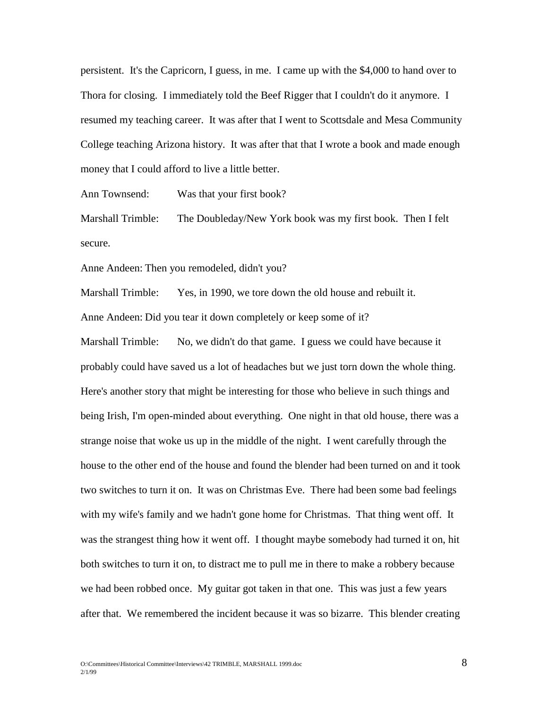persistent. It's the Capricorn, I guess, in me. I came up with the \$4,000 to hand over to Thora for closing. I immediately told the Beef Rigger that I couldn't do it anymore. I resumed my teaching career. It was after that I went to Scottsdale and Mesa Community College teaching Arizona history. It was after that that I wrote a book and made enough money that I could afford to live a little better.

Ann Townsend: Was that your first book?

Marshall Trimble: The Doubleday/New York book was my first book. Then I felt secure.

Anne Andeen: Then you remodeled, didn't you?

Marshall Trimble: Yes, in 1990, we tore down the old house and rebuilt it. Anne Andeen: Did you tear it down completely or keep some of it?

Marshall Trimble: No, we didn't do that game. I guess we could have because it probably could have saved us a lot of headaches but we just torn down the whole thing. Here's another story that might be interesting for those who believe in such things and being Irish, I'm open-minded about everything. One night in that old house, there was a strange noise that woke us up in the middle of the night. I went carefully through the house to the other end of the house and found the blender had been turned on and it took two switches to turn it on. It was on Christmas Eve. There had been some bad feelings with my wife's family and we hadn't gone home for Christmas. That thing went off. It was the strangest thing how it went off. I thought maybe somebody had turned it on, hit both switches to turn it on, to distract me to pull me in there to make a robbery because we had been robbed once. My guitar got taken in that one. This was just a few years after that. We remembered the incident because it was so bizarre. This blender creating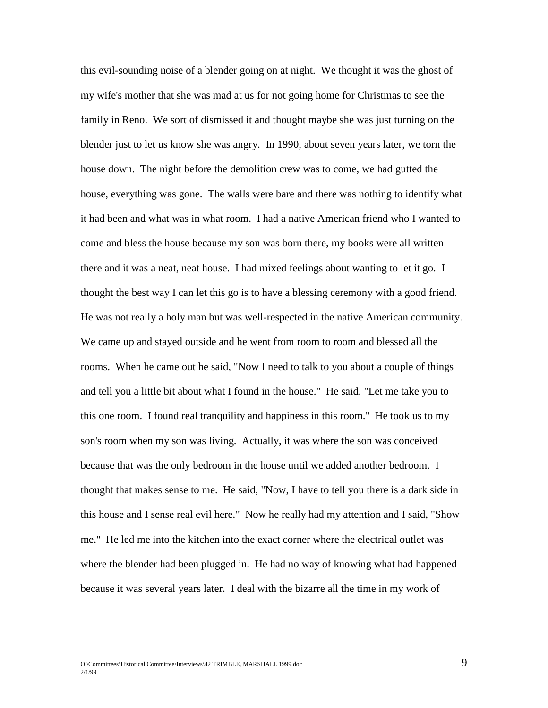this evil-sounding noise of a blender going on at night. We thought it was the ghost of my wife's mother that she was mad at us for not going home for Christmas to see the family in Reno. We sort of dismissed it and thought maybe she was just turning on the blender just to let us know she was angry. In 1990, about seven years later, we torn the house down. The night before the demolition crew was to come, we had gutted the house, everything was gone. The walls were bare and there was nothing to identify what it had been and what was in what room. I had a native American friend who I wanted to come and bless the house because my son was born there, my books were all written there and it was a neat, neat house. I had mixed feelings about wanting to let it go. I thought the best way I can let this go is to have a blessing ceremony with a good friend. He was not really a holy man but was well-respected in the native American community. We came up and stayed outside and he went from room to room and blessed all the rooms. When he came out he said, "Now I need to talk to you about a couple of things and tell you a little bit about what I found in the house." He said, "Let me take you to this one room. I found real tranquility and happiness in this room." He took us to my son's room when my son was living. Actually, it was where the son was conceived because that was the only bedroom in the house until we added another bedroom. I thought that makes sense to me. He said, "Now, I have to tell you there is a dark side in this house and I sense real evil here." Now he really had my attention and I said, "Show me." He led me into the kitchen into the exact corner where the electrical outlet was where the blender had been plugged in. He had no way of knowing what had happened because it was several years later. I deal with the bizarre all the time in my work of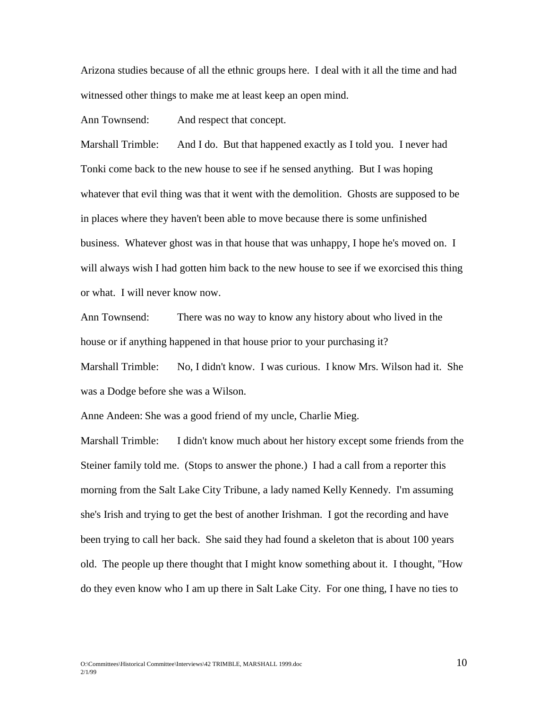Arizona studies because of all the ethnic groups here. I deal with it all the time and had witnessed other things to make me at least keep an open mind.

Ann Townsend: And respect that concept.

Marshall Trimble: And I do. But that happened exactly as I told you. I never had Tonki come back to the new house to see if he sensed anything. But I was hoping whatever that evil thing was that it went with the demolition. Ghosts are supposed to be in places where they haven't been able to move because there is some unfinished business. Whatever ghost was in that house that was unhappy, I hope he's moved on. I will always wish I had gotten him back to the new house to see if we exorcised this thing or what. I will never know now.

Ann Townsend: There was no way to know any history about who lived in the house or if anything happened in that house prior to your purchasing it?

Marshall Trimble: No, I didn't know. I was curious. I know Mrs. Wilson had it. She was a Dodge before she was a Wilson.

Anne Andeen: She was a good friend of my uncle, Charlie Mieg.

Marshall Trimble: I didn't know much about her history except some friends from the Steiner family told me. (Stops to answer the phone.) I had a call from a reporter this morning from the Salt Lake City Tribune, a lady named Kelly Kennedy. I'm assuming she's Irish and trying to get the best of another Irishman. I got the recording and have been trying to call her back. She said they had found a skeleton that is about 100 years old. The people up there thought that I might know something about it. I thought, "How do they even know who I am up there in Salt Lake City. For one thing, I have no ties to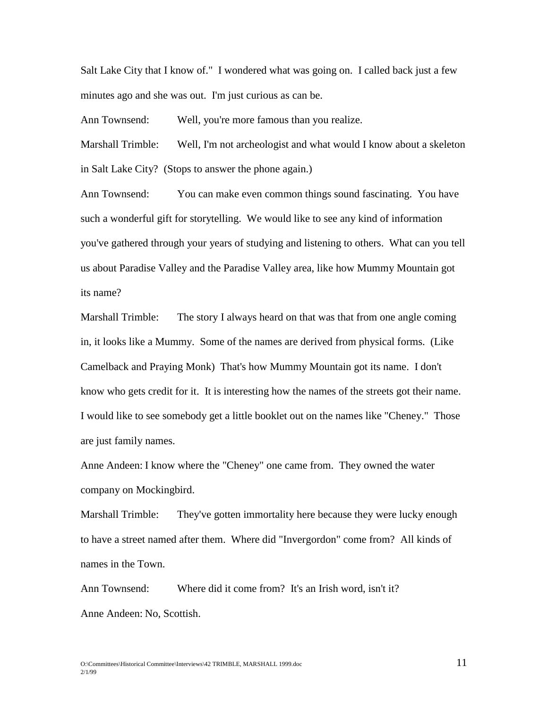Salt Lake City that I know of." I wondered what was going on. I called back just a few minutes ago and she was out. I'm just curious as can be.

Ann Townsend: Well, you're more famous than you realize.

Marshall Trimble: Well, I'm not archeologist and what would I know about a skeleton in Salt Lake City? (Stops to answer the phone again.)

Ann Townsend: You can make even common things sound fascinating. You have such a wonderful gift for storytelling. We would like to see any kind of information you've gathered through your years of studying and listening to others. What can you tell us about Paradise Valley and the Paradise Valley area, like how Mummy Mountain got its name?

Marshall Trimble: The story I always heard on that was that from one angle coming in, it looks like a Mummy. Some of the names are derived from physical forms. (Like Camelback and Praying Monk) That's how Mummy Mountain got its name. I don't know who gets credit for it. It is interesting how the names of the streets got their name. I would like to see somebody get a little booklet out on the names like "Cheney." Those are just family names.

Anne Andeen: I know where the "Cheney" one came from. They owned the water company on Mockingbird.

Marshall Trimble: They've gotten immortality here because they were lucky enough to have a street named after them. Where did "Invergordon" come from? All kinds of names in the Town.

Ann Townsend: Where did it come from? It's an Irish word, isn't it? Anne Andeen: No, Scottish.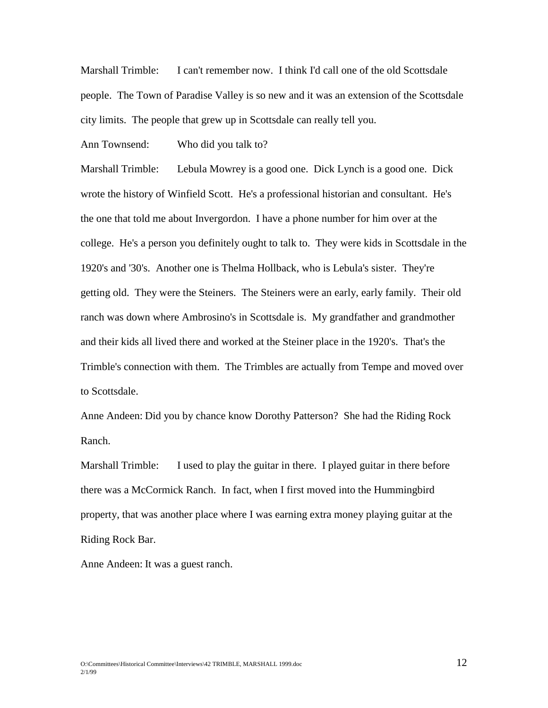Marshall Trimble: I can't remember now. I think I'd call one of the old Scottsdale people. The Town of Paradise Valley is so new and it was an extension of the Scottsdale city limits. The people that grew up in Scottsdale can really tell you.

Ann Townsend: Who did you talk to?

Marshall Trimble: Lebula Mowrey is a good one. Dick Lynch is a good one. Dick wrote the history of Winfield Scott. He's a professional historian and consultant. He's the one that told me about Invergordon. I have a phone number for him over at the college. He's a person you definitely ought to talk to. They were kids in Scottsdale in the 1920's and '30's. Another one is Thelma Hollback, who is Lebula's sister. They're getting old. They were the Steiners. The Steiners were an early, early family. Their old ranch was down where Ambrosino's in Scottsdale is. My grandfather and grandmother and their kids all lived there and worked at the Steiner place in the 1920's. That's the Trimble's connection with them. The Trimbles are actually from Tempe and moved over to Scottsdale.

Anne Andeen: Did you by chance know Dorothy Patterson? She had the Riding Rock Ranch.

Marshall Trimble: I used to play the guitar in there. I played guitar in there before there was a McCormick Ranch. In fact, when I first moved into the Hummingbird property, that was another place where I was earning extra money playing guitar at the Riding Rock Bar.

Anne Andeen: It was a guest ranch.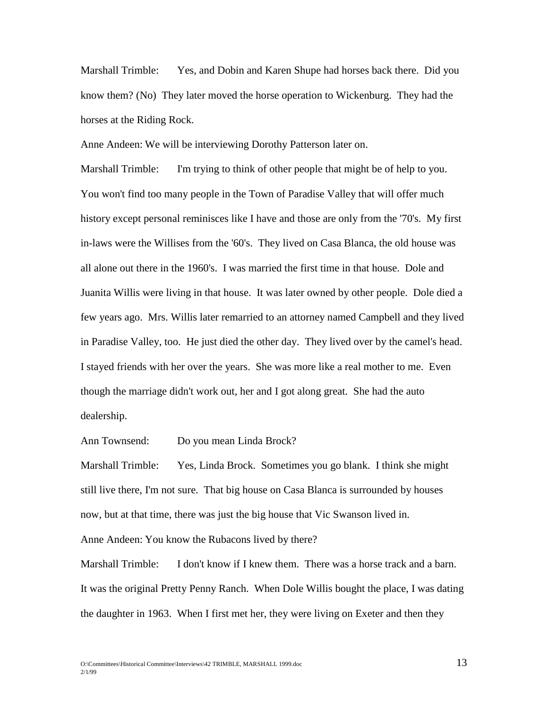Marshall Trimble: Yes, and Dobin and Karen Shupe had horses back there. Did you know them? (No) They later moved the horse operation to Wickenburg. They had the horses at the Riding Rock.

Anne Andeen: We will be interviewing Dorothy Patterson later on.

Marshall Trimble: I'm trying to think of other people that might be of help to you. You won't find too many people in the Town of Paradise Valley that will offer much history except personal reminisces like I have and those are only from the '70's. My first in-laws were the Willises from the '60's. They lived on Casa Blanca, the old house was all alone out there in the 1960's. I was married the first time in that house. Dole and Juanita Willis were living in that house. It was later owned by other people. Dole died a few years ago. Mrs. Willis later remarried to an attorney named Campbell and they lived in Paradise Valley, too. He just died the other day. They lived over by the camel's head. I stayed friends with her over the years. She was more like a real mother to me. Even though the marriage didn't work out, her and I got along great. She had the auto dealership.

Ann Townsend: Do you mean Linda Brock?

Marshall Trimble: Yes, Linda Brock. Sometimes you go blank. I think she might still live there, I'm not sure. That big house on Casa Blanca is surrounded by houses now, but at that time, there was just the big house that Vic Swanson lived in.

Anne Andeen: You know the Rubacons lived by there?

Marshall Trimble: I don't know if I knew them. There was a horse track and a barn. It was the original Pretty Penny Ranch. When Dole Willis bought the place, I was dating the daughter in 1963. When I first met her, they were living on Exeter and then they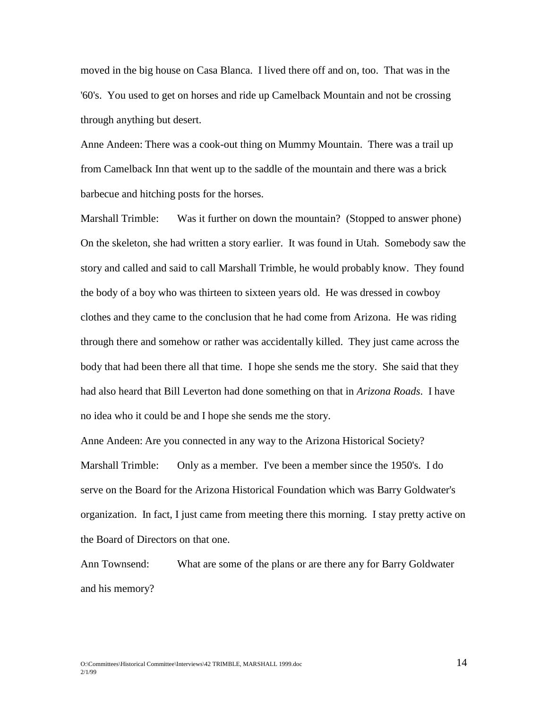moved in the big house on Casa Blanca. I lived there off and on, too. That was in the '60's. You used to get on horses and ride up Camelback Mountain and not be crossing through anything but desert.

Anne Andeen: There was a cook-out thing on Mummy Mountain. There was a trail up from Camelback Inn that went up to the saddle of the mountain and there was a brick barbecue and hitching posts for the horses.

Marshall Trimble: Was it further on down the mountain? (Stopped to answer phone) On the skeleton, she had written a story earlier. It was found in Utah. Somebody saw the story and called and said to call Marshall Trimble, he would probably know. They found the body of a boy who was thirteen to sixteen years old. He was dressed in cowboy clothes and they came to the conclusion that he had come from Arizona. He was riding through there and somehow or rather was accidentally killed. They just came across the body that had been there all that time. I hope she sends me the story. She said that they had also heard that Bill Leverton had done something on that in *Arizona Roads*. I have no idea who it could be and I hope she sends me the story.

Anne Andeen: Are you connected in any way to the Arizona Historical Society? Marshall Trimble: Only as a member. I've been a member since the 1950's. I do serve on the Board for the Arizona Historical Foundation which was Barry Goldwater's organization. In fact, I just came from meeting there this morning. I stay pretty active on the Board of Directors on that one.

Ann Townsend: What are some of the plans or are there any for Barry Goldwater and his memory?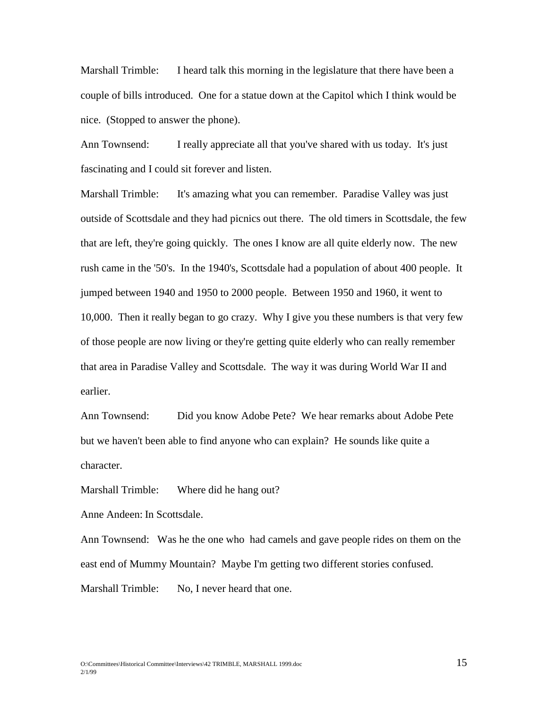Marshall Trimble: I heard talk this morning in the legislature that there have been a couple of bills introduced. One for a statue down at the Capitol which I think would be nice. (Stopped to answer the phone).

Ann Townsend: I really appreciate all that you've shared with us today. It's just fascinating and I could sit forever and listen.

Marshall Trimble: It's amazing what you can remember. Paradise Valley was just outside of Scottsdale and they had picnics out there. The old timers in Scottsdale, the few that are left, they're going quickly. The ones I know are all quite elderly now. The new rush came in the '50's. In the 1940's, Scottsdale had a population of about 400 people. It jumped between 1940 and 1950 to 2000 people. Between 1950 and 1960, it went to 10,000. Then it really began to go crazy. Why I give you these numbers is that very few of those people are now living or they're getting quite elderly who can really remember that area in Paradise Valley and Scottsdale. The way it was during World War II and earlier.

Ann Townsend: Did you know Adobe Pete? We hear remarks about Adobe Pete but we haven't been able to find anyone who can explain? He sounds like quite a character.

Marshall Trimble: Where did he hang out?

Anne Andeen: In Scottsdale.

Ann Townsend: Was he the one who had camels and gave people rides on them on the east end of Mummy Mountain? Maybe I'm getting two different stories confused. Marshall Trimble: No, I never heard that one.